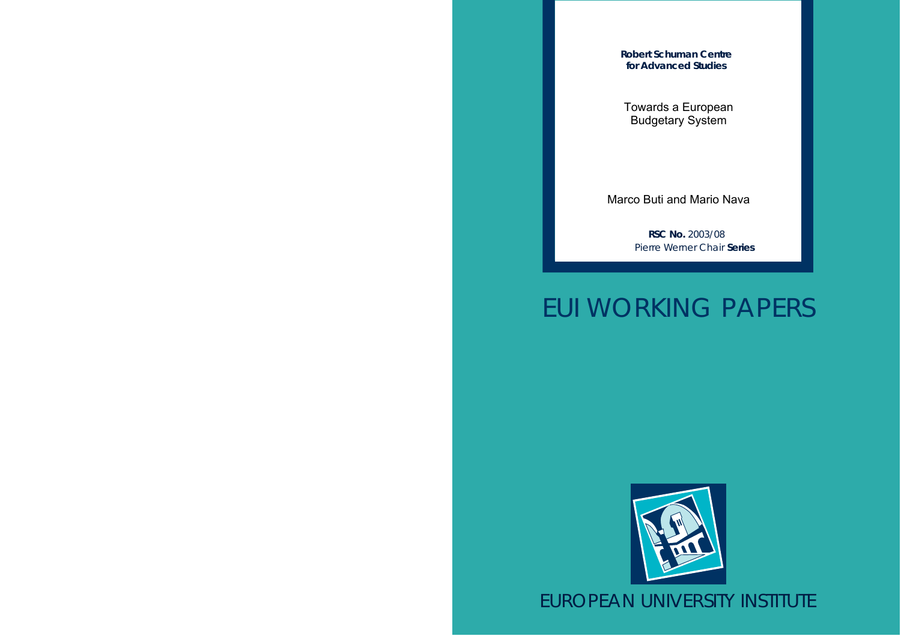**Robert Schuman Centre for Advanced Studies**

Towards a European Budgetary System

Marco Buti and Mario Nava

**RSC No.** 2003/08 Pierre Werner Chair **Series**

# EUI WORKING PAPERS



EUROPEAN UNIVERSITY INSTITUTE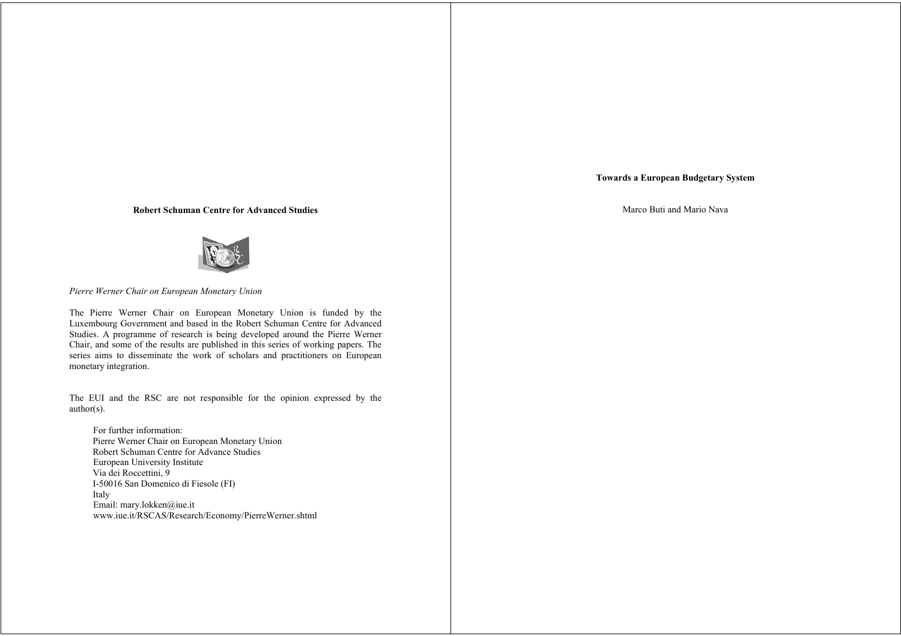## **Towards a European Budgetary System**

Marco Buti and Mario Nava

#### **Robert Schuman Centre for Advanced Studies**



*Pierre Werner Chair on European Monetary Union*

The Pierre Werner Chair on European Monetary Union is funded by the Luxembourg Government and based in the Robert Schuman Centre for Advanced Studies. A programme of research is being developed around the Pierre Werner Chair, and some of the results are published in this series of working papers. The series aims to disseminate the work of scholars and practitioners on European monetary integration.

The EUI and the RSC are not responsible for the opinion expressed by the author(s).

For further information: Pierre Werner Chair on European Monetary Union Robert Schuman Centre for Advance Studies European University Institute Via dei Roccettini, 9 I-50016 San Domenico di Fiesole (FI) Italy Email: mary.lokken@iue.it www.iue.it/RSCAS/Research/Economy/PierreWerner.shtml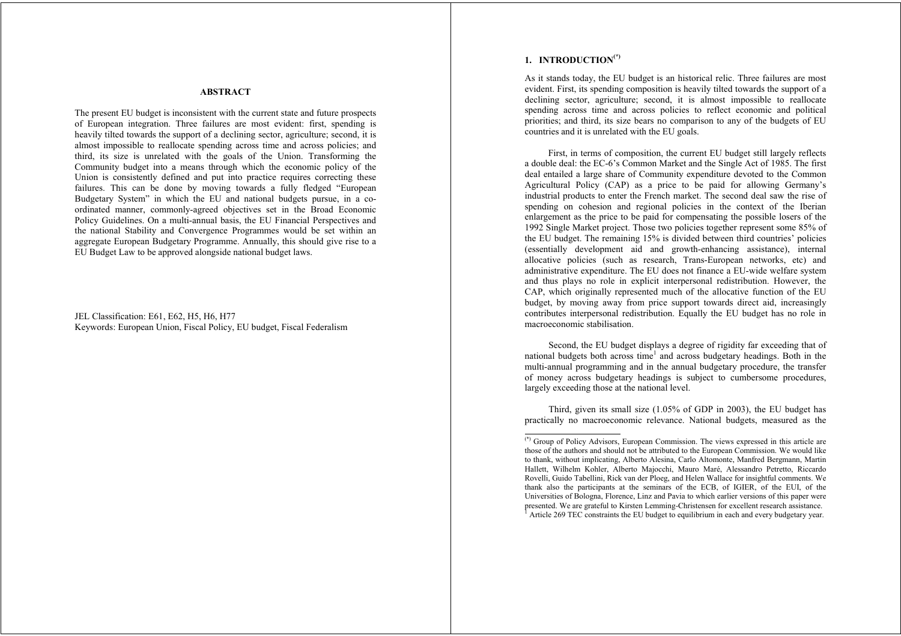#### **ABSTRACT**

The present EU budget is inconsistent with the current state and future prospects of European integration. Three failures are most evident: first, spending is heavily tilted towards the support of a declining sector, agriculture; second, it is almost impossible to reallocate spending across time and across policies; and third, its size is unrelated with the goals of the Union. Transforming the Community budget into a means through which the economic policy of the Union is consistently defined and put into practice requires correcting these failures. This can be done by moving towards a fully fledged "European Budgetary System" in which the EU and national budgets pursue, in a coordinated manner, commonly-agreed objectives set in the Broad Economic Policy Guidelines. On a multi-annual basis, the EU Financial Perspectives and the national Stability and Convergence Programmes would be set within an aggregate European Budgetary Programme. Annually, this should give rise to a EU Budget Law to be approved alongside national budget laws.

JEL Classification: E61, E62, H5, H6, H77 Keywords: European Union, Fiscal Policy, EU budget, Fiscal Federalism

# **1. INTRODUCTION(\*)**

As it stands today, the EU budget is an historical relic. Three failures are most evident. First, its spending composition is heavily tilted towards the support of a declining sector, agriculture; second, it is almost impossible to reallocate spending across time and across policies to reflect economic and political priorities; and third, its size bears no comparison to any of the budgets of EU countries and it is unrelated with the EU goals.

First, in terms of composition, the current EU budget still largely reflects a double deal: the EC-6's Common Market and the Single Act of 1985. The first deal entailed a large share of Community expenditure devoted to the Common Agricultural Policy (CAP) as a price to be paid for allowing Germany's industrial products to enter the French market. The second deal saw the rise of spending on cohesion and regional policies in the context of the Iberian enlargement as the price to be paid for compensating the possible losers of the 1992 Single Market project. Those two policies together represent some 85% of the EU budget. The remaining 15% is divided between third countries' policies (essentially development aid and growth-enhancing assistance), internal allocative policies (such as research, Trans-European networks, etc) and administrative expenditure. The EU does not finance a EU-wide welfare system and thus plays no role in explicit interpersonal redistribution. However, the CAP, which originally represented much of the allocative function of the EU budget, by moving away from price support towards direct aid, increasingly contributes interpersonal redistribution. Equally the EU budget has no role in macroeconomic stabilisation.

Second, the EU budget displays a degree of rigidity far exceeding that of national budgets both across time<sup>1</sup> and across budgetary headings. Both in the multi-annual programming and in the annual budgetary procedure, the transfer of money across budgetary headings is subject to cumbersome procedures, largely exceeding those at the national level.

Third, given its small size (1.05% of GDP in 2003), the EU budget has practically no macroeconomic relevance. National budgets, measured as the

<sup>(\*)</sup> Group of Policy Advisors, European Commission. The views expressed in this article are those of the authors and should not be attributed to the European Commission. We would like to thank, without implicating, Alberto Alesina, Carlo Altomonte, Manfred Bergmann, Martin Hallett, Wilhelm Kohler, Alberto Majocchi, Mauro Maré, Alessandro Petretto, Riccardo Rovelli, Guido Tabellini, Rick van der Ploeg, and Helen Wallace for insightful comments. We thank also the participants at the seminars of the ECB, of IGIER, of the EUI, of the Universities of Bologna, Florence, Linz and Pavia to which earlier versions of this paper were presented. We are grateful to Kirsten Lemming-Christensen for excellent research assistance. 1 Article 269 TEC constraints the EU budget to equilibrium in each and every budgetary year.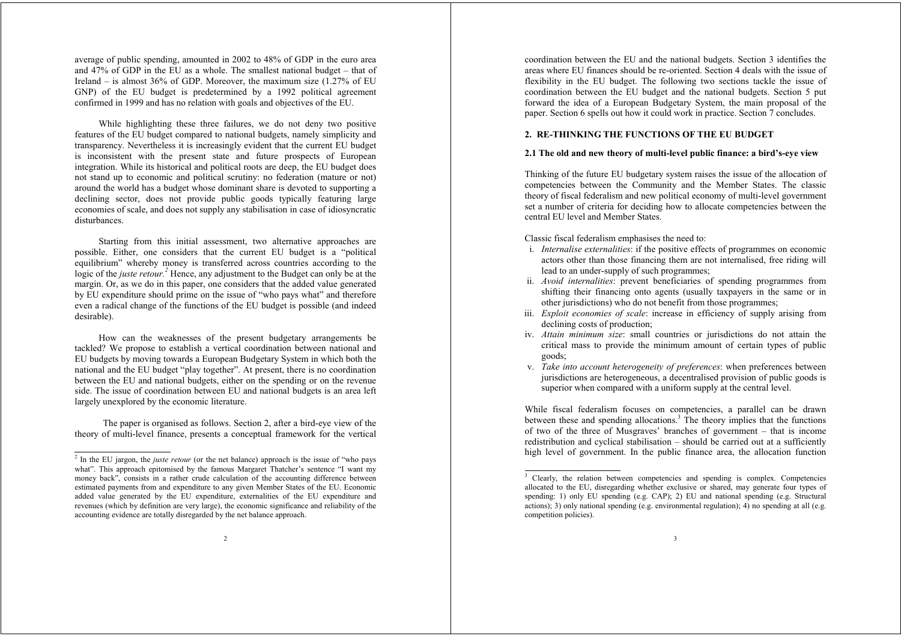average of public spending, amounted in 2002 to 48% of GDP in the euro area and 47% of GDP in the EU as a whole. The smallest national budget – that of Ireland – is almost 36% of GDP. Moreover, the maximum size (1.27% of EU GNP) of the EU budget is predetermined by a 1992 political agreement confirmed in 1999 and has no relation with goals and objectives of the EU.

While highlighting these three failures, we do not deny two positive features of the EU budget compared to national budgets, namely simplicity and transparency. Nevertheless it is increasingly evident that the current EU budget is inconsistent with the present state and future prospects of European integration. While its historical and political roots are deep, the EU budget does not stand up to economic and political scrutiny: no federation (mature or not) around the world has a budget whose dominant share is devoted to supporting a declining sector, does not provide public goods typically featuring large economies of scale, and does not supply any stabilisation in case of idiosyncratic disturbances.

Starting from this initial assessment, two alternative approaches are possible. Either, one considers that the current EU budget is a "political equilibrium" whereby money is transferred across countries according to the logic of the *juste retour*.<sup>2</sup> Hence, any adjustment to the Budget can only be at the margin. Or, as we do in this paper, one considers that the added value generated by EU expenditure should prime on the issue of "who pays what" and therefore even a radical change of the functions of the EU budget is possible (and indeed desirable).

How can the weaknesses of the present budgetary arrangements be tackled? We propose to establish a vertical coordination between national and EU budgets by moving towards a European Budgetary System in which both the national and the EU budget "play together". At present, there is no coordination between the EU and national budgets, either on the spending or on the revenue side. The issue of coordination between EU and national budgets is an area left largely unexplored by the economic literature.

The paper is organised as follows. Section 2, after a bird-eye view of the theory of multi-level finance, presents a conceptual framework for the vertical

coordination between the EU and the national budgets. Section 3 identifies the areas where EU finances should be re-oriented. Section 4 deals with the issue of flexibility in the EU budget. The following two sections tackle the issue of coordination between the EU budget and the national budgets. Section 5 put forward the idea of a European Budgetary System, the main proposal of the paper. Section 6 spells out how it could work in practice. Section 7 concludes.

## **2. RE-THINKING THE FUNCTIONS OF THE EU BUDGET**

#### **2.1 The old and new theory of multi-level public finance: a bird's-eye view**

Thinking of the future EU budgetary system raises the issue of the allocation of competencies between the Community and the Member States. The classic theory of fiscal federalism and new political economy of multi-level government set a number of criteria for deciding how to allocate competencies between the central EU level and Member States.

Classic fiscal federalism emphasises the need to:

- i. *Internalise externalities*: if the positive effects of programmes on economic actors other than those financing them are not internalised, free riding will lead to an under-supply of such programmes;
- ii. *Avoid internalities*: prevent beneficiaries of spending programmes from shifting their financing onto agents (usually taxpayers in the same or in other jurisdictions) who do not benefit from those programmes;
- iii. *Exploit economies of scale*: increase in efficiency of supply arising from declining costs of production;
- iv. *Attain minimum size*: small countries or jurisdictions do not attain the critical mass to provide the minimum amount of certain types of public goods;
- v. *Take into account heterogeneity of preferences*: when preferences between jurisdictions are heterogeneous, a decentralised provision of public goods is superior when compared with a uniform supply at the central level.

While fiscal federalism focuses on competencies, a parallel can be drawn between these and spending allocations.<sup>3</sup> The theory implies that the functions of two of the three of Musgraves' branches of government – that is income redistribution and cyclical stabilisation – should be carried out at a sufficiently high level of government. In the public finance area, the allocation function

<sup>&</sup>lt;sup>2</sup> In the EU jargon, the *juste retour* (or the net balance) approach is the issue of "who pays what". This approach epitomised by the famous Margaret Thatcher's sentence "I want my money back", consists in a rather crude calculation of the accounting difference between estimated payments from and expenditure to any given Member States of the EU. Economic added value generated by the EU expenditure, externalities of the EU expenditure and revenues (which by definition are very large), the economic significance and reliability of the accounting evidence are totally disregarded by the net balance approach.

<sup>&</sup>lt;sup>3</sup> Clearly, the relation between competencies and spending is complex. Competencies allocated to the EU, disregarding whether exclusive or shared, may generate four types of spending: 1) only EU spending (e.g. CAP); 2) EU and national spending (e.g. Structural actions); 3) only national spending (e.g. environmental regulation); 4) no spending at all (e.g. competition policies).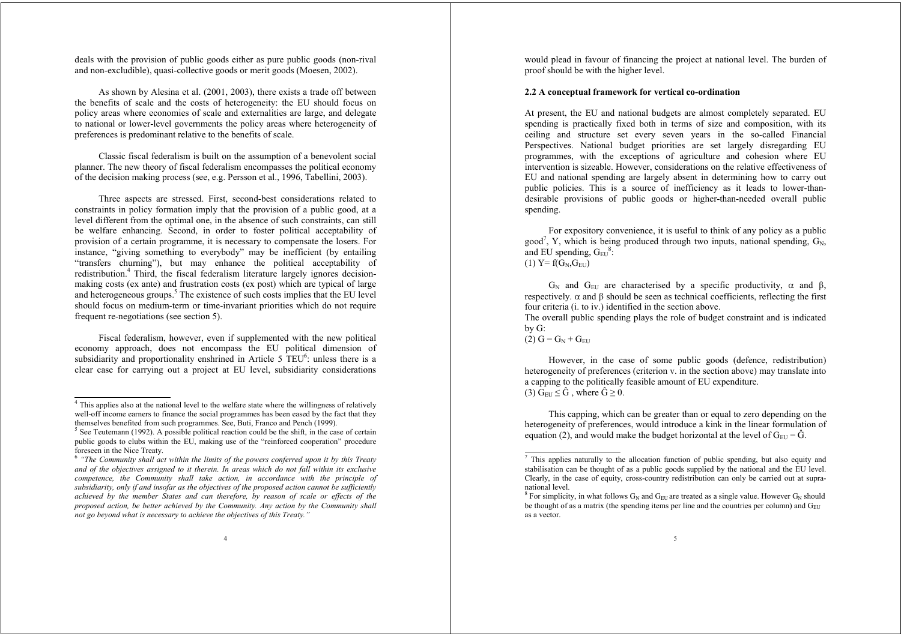deals with the provision of public goods either as pure public goods (non-rival and non-excludible), quasi-collective goods or merit goods (Moesen, 2002).

As shown by Alesina et al. (2001, 2003), there exists a trade off between the benefits of scale and the costs of heterogeneity: the EU should focus on policy areas where economies of scale and externalities are large, and delegate to national or lower-level governments the policy areas where heterogeneity of preferences is predominant relative to the benefits of scale.

Classic fiscal federalism is built on the assumption of a benevolent social planner. The new theory of fiscal federalism encompasses the political economy of the decision making process (see, e.g. Persson et al., 1996, Tabellini, 2003).

Three aspects are stressed. First, second-best considerations related to constraints in policy formation imply that the provision of a public good, at a level different from the optimal one, in the absence of such constraints, can still be welfare enhancing. Second, in order to foster political acceptability of provision of a certain programme, it is necessary to compensate the losers. For instance, "giving something to everybody" may be inefficient (by entailing "transfers churning"), but may enhance the political acceptability of redistribution.<sup>4</sup> Third, the fiscal federalism literature largely ignores decisionmaking costs (ex ante) and frustration costs (ex post) which are typical of large and heterogeneous groups.<sup>5</sup> The existence of such costs implies that the EU level should focus on medium-term or time-invariant priorities which do not require frequent re-negotiations (see section 5).

Fiscal federalism, however, even if supplemented with the new political economy approach, does not encompass the EU political dimension of subsidiarity and proportionality enshrined in Article 5  $TEU^6$ : unless there is a clear case for carrying out a project at EU level, subsidiarity considerations would plead in favour of financing the project at national level. The burden of proof should be with the higher level.

#### **2.2 A conceptual framework for vertical co-ordination**

At present, the EU and national budgets are almost completely separated. EU spending is practically fixed both in terms of size and composition, with its ceiling and structure set every seven years in the so-called Financial Perspectives. National budget priorities are set largely disregarding EU programmes, with the exceptions of agriculture and cohesion where EU intervention is sizeable. However, considerations on the relative effectiveness of EU and national spending are largely absent in determining how to carry out public policies. This is a source of inefficiency as it leads to lower-thandesirable provisions of public goods or higher-than-needed overall public spending.

For expository convenience, it is useful to think of any policy as a public good<sup>7</sup>, Y, which is being produced through two inputs, national spending,  $G_N$ , and EU spending,  $G_{EU}^8$ : (1)  $Y = f(G_N, G_{\text{EU}})$ 

 $G_N$  and  $G_{EU}$  are characterised by a specific productivity,  $\alpha$  and  $\beta$ , respectively.  $\alpha$  and  $\beta$  should be seen as technical coefficients, reflecting the first four criteria (i. to iv.) identified in the section above.

The overall public spending plays the role of budget constraint and is indicated by G:

 $(2) G = G_N + G_{\text{FII}}$ 

However, in the case of some public goods (defence, redistribution) heterogeneity of preferences (criterion v. in the section above) may translate into a capping to the politically feasible amount of EU expenditure. (3)  $G_{EU} \leq \hat{G}$ , where  $\hat{G} \geq 0$ .

This capping, which can be greater than or equal to zero depending on the heterogeneity of preferences, would introduce a kink in the linear formulation of equation (2), and would make the budget horizontal at the level of  $G_{\text{EU}} = \hat{G}$ .

<sup>&</sup>lt;sup>4</sup> This applies also at the national level to the welfare state where the willingness of relatively well-off income earners to finance the social programmes has been eased by the fact that they themselves benefited from such programmes. See, Buti, Franco and Pench (1999).

 $<sup>5</sup>$  See Teutemann (1992). A possible political reaction could be the shift, in the case of certain</sup> public goods to clubs within the EU, making use of the "reinforced cooperation" procedure foreseen in the Nice Treaty.

<sup>6</sup> *"The Community shall act within the limits of the powers conferred upon it by this Treaty and of the objectives assigned to it therein. In areas which do not fall within its exclusive competence, the Community shall take action, in accordance with the principle of subsidiarity, only if and insofar as the objectives of the proposed action cannot be sufficiently achieved by the member States and can therefore, by reason of scale or effects of the proposed action, be better achieved by the Community. Any action by the Community shall not go beyond what is necessary to achieve the objectives of this Treaty."*

 $<sup>7</sup>$  This applies naturally to the allocation function of public spending, but also equity and</sup> stabilisation can be thought of as a public goods supplied by the national and the EU level. Clearly, in the case of equity, cross-country redistribution can only be carried out at supranational level.

<sup>&</sup>lt;sup>8</sup> For simplicity, in what follows  $G_N$  and  $G_{E11}$  are treated as a single value. However  $G_N$  should be thought of as a matrix (the spending items per line and the countries per column) and  $G_{\text{EU}}$ as a vector.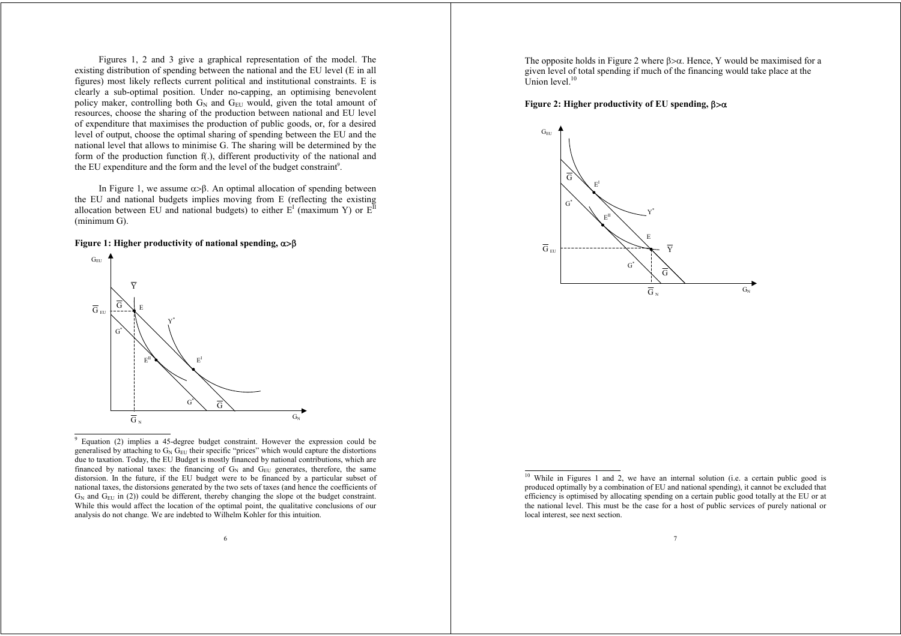Figures 1, 2 and 3 give a graphical representation of the model. The existing distribution of spending between the national and the EU level (E in all figures) most likely reflects current political and institutional constraints. E is clearly a sub-optimal position. Under no-capping, an optimising benevolent policy maker, controlling both  $G_N$  and  $G_{EU}$  would, given the total amount of resources, choose the sharing of the production between national and EU level of expenditure that maximises the production of public goods, or, for a desired level of output, choose the optimal sharing of spending between the EU and the national level that allows to minimise G. The sharing will be determined by the form of the production function f(.), different productivity of the national and the EU expenditure and the form and the level of the budget constraint<sup>9</sup>.

In Figure 1, we assume  $\alpha > \beta$ . An optimal allocation of spending between the EU and national budgets implies moving from E (reflecting the existing allocation between EU and national budgets) to either  $E<sup>I</sup>$  (maximum Y) or  $E<sup>I</sup>$ (minimum G).

#### **Figure 1: Higher productivity of national spending,**  $\alpha$ **>β**



9 Equation (2) implies a 45-degree budget constraint. However the expression could be generalised by attaching to  $G_N G_{EU}$  their specific "prices" which would capture the distortions due to taxation. Today, the EU Budget is mostly financed by national contributions, which are financed by national taxes: the financing of  $G_N$  and  $G_{EU}$  generates, therefore, the same distorsion. In the future, if the EU budget were to be financed by a particular subset of national taxes, the distorsions generated by the two sets of taxes (and hence the coefficients of  $G_N$  and  $G_{E1}$  in (2)) could be different, thereby changing the slope ot the budget constraint. While this would affect the location of the optimal point, the qualitative conclusions of our analysis do not change. We are indebted to Wilhelm Kohler for this intuition.

6

The opposite holds in Figure 2 where  $\beta > \alpha$ . Hence, Y would be maximised for a given level of total spending if much of the financing would take place at the Union level. $10$ 

#### **Figure 2: Higher productivity of EU spending, β>α**



 $10$  While in Figures 1 and 2, we have an internal solution (i.e. a certain public good is produced optimally by a combination of EU and national spending), it cannot be excluded that efficiency is optimised by allocating spending on a certain public good totally at the EU or at the national level. This must be the case for a host of public services of purely national or local interest, see next section.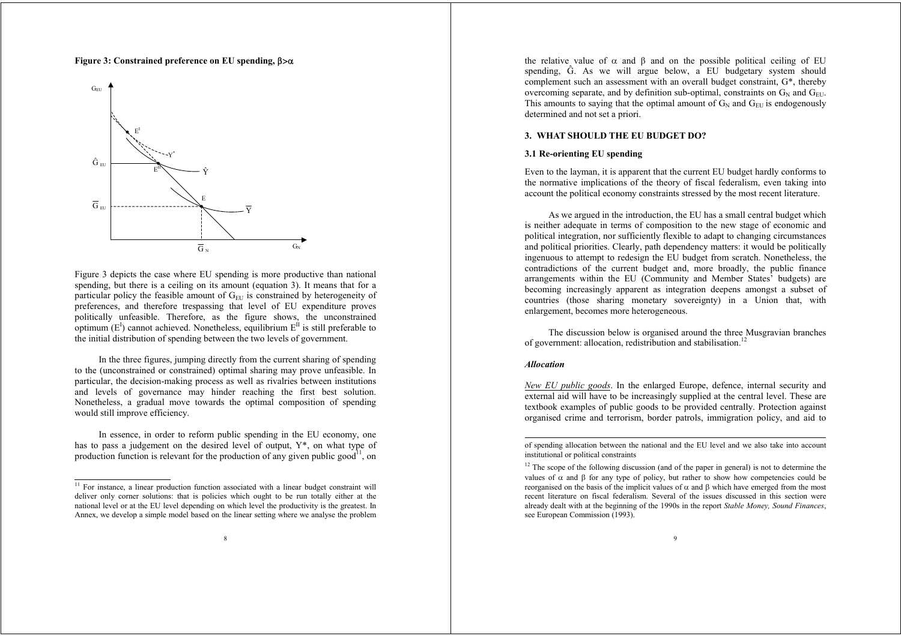#### **Figure 3: Constrained preference on EU spending, β>α**



Figure 3 depicts the case where EU spending is more productive than national spending, but there is a ceiling on its amount (equation 3). It means that for a particular policy the feasible amount of  $G<sub>EU</sub>$  is constrained by heterogeneity of preferences, and therefore trespassing that level of EU expenditure proves politically unfeasible. Therefore, as the figure shows, the unconstrained optimum  $(E^I)$  cannot achieved. Nonetheless, equilibrium  $E^I$  is still preferable to the initial distribution of spending between the two levels of government.

In the three figures, jumping directly from the current sharing of spending to the (unconstrained or constrained) optimal sharing may prove unfeasible. In particular, the decision-making process as well as rivalries between institutions and levels of governance may hinder reaching the first best solution. Nonetheless, a gradual move towards the optimal composition of spending would still improve efficiency.

In essence, in order to reform public spending in the EU economy, one has to pass a judgement on the desired level of output, Y\*, on what type of production function is relevant for the production of any given public good<sup>11</sup>, on

the relative value of  $\alpha$  and  $\beta$  and on the possible political ceiling of EU spending, Ĝ. As we will argue below, a EU budgetary system should complement such an assessment with an overall budget constraint, G\*, thereby overcoming separate, and by definition sub-optimal, constraints on  $G_N$  and  $G_{\text{ELU}}$ . This amounts to saying that the optimal amount of  $G_N$  and  $G_{\text{EII}}$  is endogenously determined and not set a priori.

#### **3. WHAT SHOULD THE EU BUDGET DO?**

#### **3.1 Re-orienting EU spending**

Even to the layman, it is apparent that the current EU budget hardly conforms to the normative implications of the theory of fiscal federalism, even taking into account the political economy constraints stressed by the most recent literature.

As we argued in the introduction, the EU has a small central budget which is neither adequate in terms of composition to the new stage of economic and political integration, nor sufficiently flexible to adapt to changing circumstances and political priorities. Clearly, path dependency matters: it would be politically ingenuous to attempt to redesign the EU budget from scratch. Nonetheless, the contradictions of the current budget and, more broadly, the public finance arrangements within the EU (Community and Member States' budgets) are becoming increasingly apparent as integration deepens amongst a subset of countries (those sharing monetary sovereignty) in a Union that, with enlargement, becomes more heterogeneous.

The discussion below is organised around the three Musgravian branches of government: allocation, redistribution and stabilisation.<sup>12</sup>

## *Allocation*

*New EU public goods*. In the enlarged Europe, defence, internal security and external aid will have to be increasingly supplied at the central level. These are textbook examples of public goods to be provided centrally. Protection against organised crime and terrorism, border patrols, immigration policy, and aid to

<sup>&</sup>lt;sup>11</sup> For instance, a linear production function associated with a linear budget constraint will deliver only corner solutions: that is policies which ought to be run totally either at the national level or at the EU level depending on which level the productivity is the greatest. In Annex, we develop a simple model based on the linear setting where we analyse the problem

of spending allocation between the national and the EU level and we also take into account institutional or political constraints

 $12$  The scope of the following discussion (and of the paper in general) is not to determine the values of  $\alpha$  and  $\beta$  for any type of policy, but rather to show how competencies could be reorganised on the basis of the implicit values of  $\alpha$  and  $\beta$  which have emerged from the most recent literature on fiscal federalism. Several of the issues discussed in this section were already dealt with at the beginning of the 1990s in the report *Stable Money, Sound Finances*, see European Commission (1993).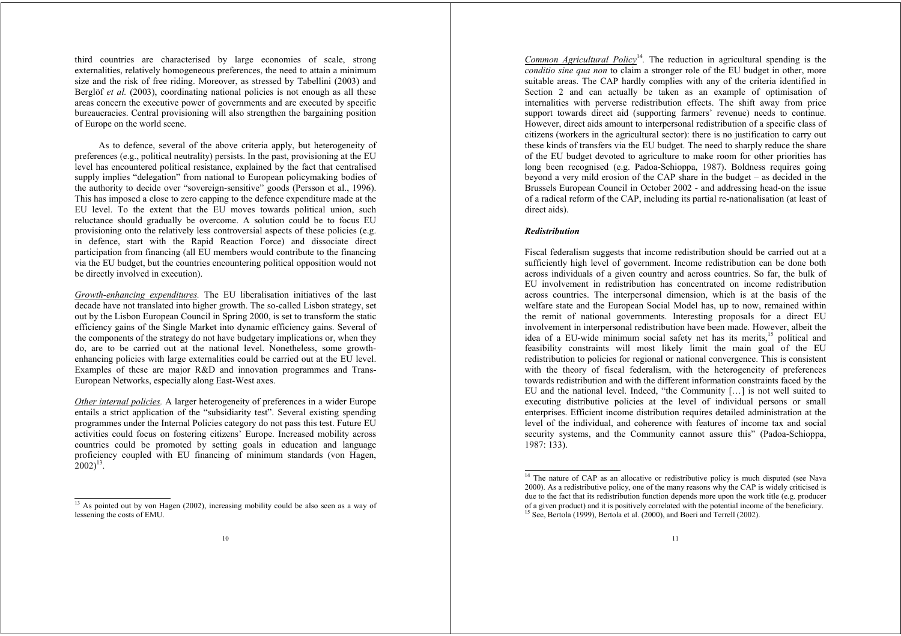third countries are characterised by large economies of scale, strong externalities, relatively homogeneous preferences, the need to attain a minimum size and the risk of free riding. Moreover, as stressed by Tabellini (2003) and Berglöf *et al.* (2003), coordinating national policies is not enough as all these areas concern the executive power of governments and are executed by specific bureaucracies. Central provisioning will also strengthen the bargaining position of Europe on the world scene.

As to defence, several of the above criteria apply, but heterogeneity of preferences (e.g., political neutrality) persists. In the past, provisioning at the EU level has encountered political resistance, explained by the fact that centralised supply implies "delegation" from national to European policymaking bodies of the authority to decide over "sovereign-sensitive" goods (Persson et al., 1996). This has imposed a close to zero capping to the defence expenditure made at the EU level. To the extent that the EU moves towards political union, such reluctance should gradually be overcome. A solution could be to focus EU provisioning onto the relatively less controversial aspects of these policies (e.g. in defence, start with the Rapid Reaction Force) and dissociate direct participation from financing (all EU members would contribute to the financing via the EU budget, but the countries encountering political opposition would not be directly involved in execution).

*Growth-enhancing expenditures.* The EU liberalisation initiatives of the last decade have not translated into higher growth. The so-called Lisbon strategy, set out by the Lisbon European Council in Spring 2000, is set to transform the static efficiency gains of the Single Market into dynamic efficiency gains. Several of the components of the strategy do not have budgetary implications or, when they do, are to be carried out at the national level. Nonetheless, some growthenhancing policies with large externalities could be carried out at the EU level. Examples of these are major R&D and innovation programmes and Trans-European Networks, especially along East-West axes.

*Other internal policies.* A larger heterogeneity of preferences in a wider Europe entails a strict application of the "subsidiarity test". Several existing spending programmes under the Internal Policies category do not pass this test. Future EU activities could focus on fostering citizens' Europe. Increased mobility across countries could be promoted by setting goals in education and language proficiency coupled with EU financing of minimum standards (von Hagen,  $[2002]^{13}$ .

*Common Agricultural Policy*<sup>14</sup>. The reduction in agricultural spending is the *conditio sine qua non* to claim a stronger role of the EU budget in other, more suitable areas. The CAP hardly complies with any of the criteria identified in Section 2 and can actually be taken as an example of optimisation of internalities with perverse redistribution effects. The shift away from price support towards direct aid (supporting farmers' revenue) needs to continue. However, direct aids amount to interpersonal redistribution of a specific class of citizens (workers in the agricultural sector): there is no justification to carry out these kinds of transfers via the EU budget. The need to sharply reduce the share of the EU budget devoted to agriculture to make room for other priorities has long been recognised (e.g. Padoa-Schioppa, 1987). Boldness requires going beyond a very mild erosion of the CAP share in the budget – as decided in the Brussels European Council in October 2002 - and addressing head-on the issue of a radical reform of the CAP, including its partial re-nationalisation (at least of direct aids).

#### *Redistribution*

Fiscal federalism suggests that income redistribution should be carried out at a sufficiently high level of government. Income redistribution can be done both across individuals of a given country and across countries. So far, the bulk of EU involvement in redistribution has concentrated on income redistribution across countries. The interpersonal dimension, which is at the basis of the welfare state and the European Social Model has, up to now, remained within the remit of national governments. Interesting proposals for a direct EU involvement in interpersonal redistribution have been made. However, albeit the idea of a EU-wide minimum social safety net has its merits,<sup>15</sup> political and feasibility constraints will most likely limit the main goal of the EU redistribution to policies for regional or national convergence. This is consistent with the theory of fiscal federalism, with the heterogeneity of preferences towards redistribution and with the different information constraints faced by the EU and the national level. Indeed, "the Community […] is not well suited to executing distributive policies at the level of individual persons or small enterprises. Efficient income distribution requires detailed administration at the level of the individual, and coherence with features of income tax and social security systems, and the Community cannot assure this" (Padoa-Schioppa, 1987: 133).

<sup>&</sup>lt;sup>13</sup> As pointed out by von Hagen (2002), increasing mobility could be also seen as a way of lessening the costs of EMU.

<sup>&</sup>lt;sup>14</sup> The nature of CAP as an allocative or redistributive policy is much disputed (see Nava 2000). As a redistributive policy, one of the many reasons why the CAP is widely criticised is due to the fact that its redistribution function depends more upon the work title (e.g. producer of a given product) and it is positively correlated with the potential income of the beneficiary.  $15$  See, Bertola (1999), Bertola et al. (2000), and Boeri and Terrell (2002).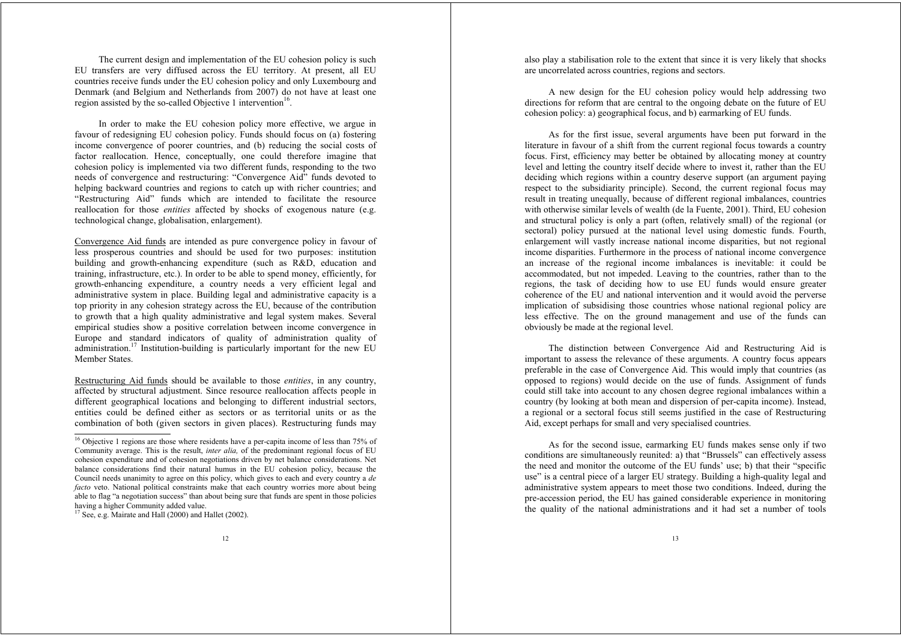The current design and implementation of the EU cohesion policy is such EU transfers are very diffused across the EU territory. At present, all EU countries receive funds under the EU cohesion policy and only Luxembourg and Denmark (and Belgium and Netherlands from 2007) do not have at least one region assisted by the so-called Objective 1 intervention<sup>16</sup>.

In order to make the EU cohesion policy more effective, we argue in favour of redesigning EU cohesion policy. Funds should focus on (a) fostering income convergence of poorer countries, and (b) reducing the social costs of factor reallocation. Hence, conceptually, one could therefore imagine that cohesion policy is implemented via two different funds, responding to the two needs of convergence and restructuring: "Convergence Aid" funds devoted to helping backward countries and regions to catch up with richer countries; and "Restructuring Aid" funds which are intended to facilitate the resource reallocation for those *entities* affected by shocks of exogenous nature (e.g. technological change, globalisation, enlargement).

Convergence Aid funds are intended as pure convergence policy in favour of less prosperous countries and should be used for two purposes: institution building and growth-enhancing expenditure (such as R&D, education and training, infrastructure, etc.). In order to be able to spend money, efficiently, for growth-enhancing expenditure, a country needs a very efficient legal and administrative system in place. Building legal and administrative capacity is a top priority in any cohesion strategy across the EU, because of the contribution to growth that a high quality administrative and legal system makes. Several empirical studies show a positive correlation between income convergence in Europe and standard indicators of quality of administration quality of administration.<sup>17</sup> Institution-building is particularly important for the new EU Member States.

Restructuring Aid funds should be available to those *entities*, in any country, affected by structural adjustment. Since resource reallocation affects people in different geographical locations and belonging to different industrial sectors, entities could be defined either as sectors or as territorial units or as the combination of both (given sectors in given places). Restructuring funds may also play a stabilisation role to the extent that since it is very likely that shocks are uncorrelated across countries, regions and sectors.

A new design for the EU cohesion policy would help addressing two directions for reform that are central to the ongoing debate on the future of EU cohesion policy: a) geographical focus, and b) earmarking of EU funds.

As for the first issue, several arguments have been put forward in the literature in favour of a shift from the current regional focus towards a country focus. First, efficiency may better be obtained by allocating money at country level and letting the country itself decide where to invest it, rather than the EU deciding which regions within a country deserve support (an argument paying respect to the subsidiarity principle). Second, the current regional focus may result in treating unequally, because of different regional imbalances, countries with otherwise similar levels of wealth (de la Fuente, 2001). Third, EU cohesion and structural policy is only a part (often, relatively small) of the regional (or sectoral) policy pursued at the national level using domestic funds. Fourth, enlargement will vastly increase national income disparities, but not regional income disparities. Furthermore in the process of national income convergence an increase of the regional income imbalances is inevitable: it could be accommodated, but not impeded. Leaving to the countries, rather than to the regions, the task of deciding how to use EU funds would ensure greater coherence of the EU and national intervention and it would avoid the perverse implication of subsidising those countries whose national regional policy are less effective. The on the ground management and use of the funds can obviously be made at the regional level.

The distinction between Convergence Aid and Restructuring Aid is important to assess the relevance of these arguments. A country focus appears preferable in the case of Convergence Aid. This would imply that countries (as opposed to regions) would decide on the use of funds. Assignment of funds could still take into account to any chosen degree regional imbalances within a country (by looking at both mean and dispersion of per-capita income). Instead, a regional or a sectoral focus still seems justified in the case of Restructuring Aid, except perhaps for small and very specialised countries.

As for the second issue, earmarking EU funds makes sense only if two conditions are simultaneously reunited: a) that "Brussels" can effectively assess the need and monitor the outcome of the EU funds' use; b) that their "specific use" is a central piece of a larger EU strategy. Building a high-quality legal and administrative system appears to meet those two conditions. Indeed, during the pre-accession period, the EU has gained considerable experience in monitoring the quality of the national administrations and it had set a number of tools

<sup>&</sup>lt;sup>16</sup> Obiective 1 regions are those where residents have a per-capita income of less than 75% of Community average. This is the result, *inter alia,* of the predominant regional focus of EU cohesion expenditure and of cohesion negotiations driven by net balance considerations. Net balance considerations find their natural humus in the EU cohesion policy, because the Council needs unanimity to agree on this policy, which gives to each and every country a *de facto* veto. National political constraints make that each country worries more about being able to flag "a negotiation success" than about being sure that funds are spent in those policies having a higher Community added value.

<sup>&</sup>lt;sup>17</sup> See, e.g. Mairate and Hall (2000) and Hallet (2002).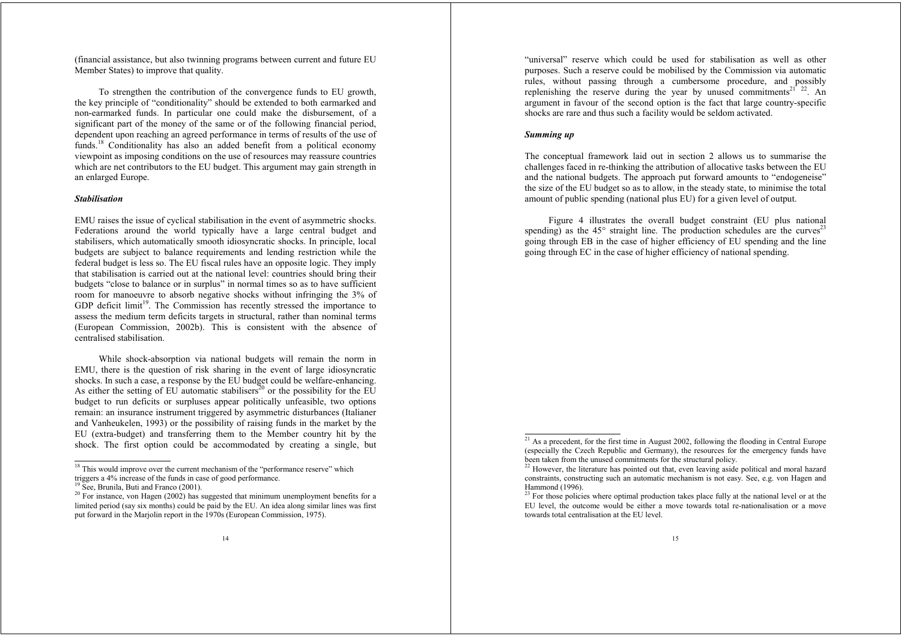(financial assistance, but also twinning programs between current and future EU Member States) to improve that quality.

To strengthen the contribution of the convergence funds to EU growth, the key principle of "conditionality" should be extended to both earmarked and non-earmarked funds. In particular one could make the disbursement, of a significant part of the money of the same or of the following financial period, dependent upon reaching an agreed performance in terms of results of the use of funds.<sup>18</sup> Conditionality has also an added benefit from a political economy viewpoint as imposing conditions on the use of resources may reassure countries which are net contributors to the EU budget. This argument may gain strength in an enlarged Europe.

## *Stabilisation*

EMU raises the issue of cyclical stabilisation in the event of asymmetric shocks. Federations around the world typically have a large central budget and stabilisers, which automatically smooth idiosyncratic shocks. In principle, local budgets are subject to balance requirements and lending restriction while the federal budget is less so. The EU fiscal rules have an opposite logic. They imply that stabilisation is carried out at the national level: countries should bring their budgets "close to balance or in surplus" in normal times so as to have sufficient room for manoeuvre to absorb negative shocks without infringing the 3% of GDP deficit limit<sup>19</sup>. The Commission has recently stressed the importance to assess the medium term deficits targets in structural, rather than nominal terms (European Commission, 2002b). This is consistent with the absence of centralised stabilisation.

While shock-absorption via national budgets will remain the norm in EMU, there is the question of risk sharing in the event of large idiosyncratic shocks. In such a case, a response by the EU budget could be welfare-enhancing. As either the setting of EU automatic stabilisers<sup>20</sup> or the possibility for the EU budget to run deficits or surpluses appear politically unfeasible, two options remain: an insurance instrument triggered by asymmetric disturbances (Italianer and Vanheukelen, 1993) or the possibility of raising funds in the market by the EU (extra-budget) and transferring them to the Member country hit by the shock. The first option could be accommodated by creating a single, but

"universal" reserve which could be used for stabilisation as well as other purposes. Such a reserve could be mobilised by the Commission via automatic rules, without passing through a cumbersome procedure, and possibly replenishing the reserve during the year by unused commitments<sup>21</sup><sup>22</sup>. An argument in favour of the second option is the fact that large country-specific shocks are rare and thus such a facility would be seldom activated.

#### *Summing up*

The conceptual framework laid out in section 2 allows us to summarise the challenges faced in re-thinking the attribution of allocative tasks between the EU and the national budgets. The approach put forward amounts to "endogeneise" the size of the EU budget so as to allow, in the steady state, to minimise the total amount of public spending (national plus EU) for a given level of output.

Figure 4 illustrates the overall budget constraint (EU plus national spending) as the  $45^\circ$  straight line. The production schedules are the curves<sup>23</sup> going through EB in the case of higher efficiency of EU spending and the line going through EC in the case of higher efficiency of national spending.

<sup>&</sup>lt;sup>18</sup> This would improve over the current mechanism of the "performance reserve" which triggers a 4% increase of the funds in case of good performance.

<sup>&</sup>lt;sup>19</sup> See, Brunila, Buti and Franco (2001).

 $20$  For instance, von Hagen (2002) has suggested that minimum unemployment benefits for a limited period (say six months) could be paid by the EU. An idea along similar lines was first put forward in the Marjolin report in the 1970s (European Commission, 1975).

 $21$  As a precedent, for the first time in August 2002, following the flooding in Central Europe (especially the Czech Republic and Germany), the resources for the emergency funds have been taken from the unused commitments for the structural policy.

<sup>&</sup>lt;sup>22</sup> However, the literature has pointed out that, even leaving aside political and moral hazard constraints, constructing such an automatic mechanism is not easy. See, e.g. von Hagen and Hammond (1996).

<sup>&</sup>lt;sup>23</sup> For those policies where optimal production takes place fully at the national level or at the EU level, the outcome would be either a move towards total re-nationalisation or a move towards total centralisation at the EU level.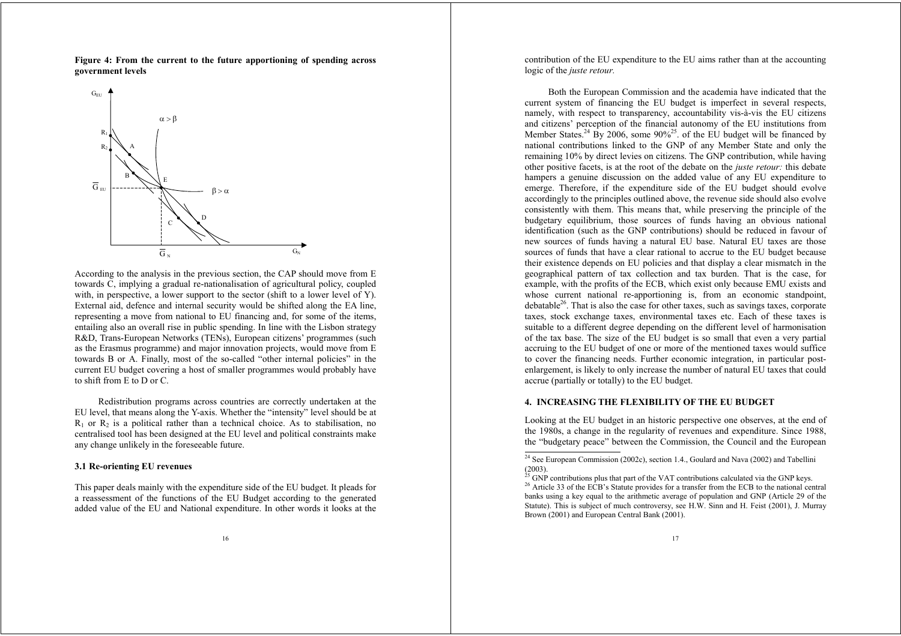**Figure 4: From the current to the future apportioning of spending across government levels**



According to the analysis in the previous section, the CAP should move from E towards C, implying a gradual re-nationalisation of agricultural policy, coupled with, in perspective, a lower support to the sector (shift to a lower level of Y). External aid, defence and internal security would be shifted along the EA line, representing a move from national to EU financing and, for some of the items, entailing also an overall rise in public spending. In line with the Lisbon strategy R&D, Trans-European Networks (TENs), European citizens' programmes (such as the Erasmus programme) and major innovation projects, would move from E towards B or A. Finally, most of the so-called "other internal policies" in the current EU budget covering a host of smaller programmes would probably have to shift from E to D or C.

Redistribution programs across countries are correctly undertaken at the EU level, that means along the Y-axis. Whether the "intensity" level should be at  $R_1$  or  $R_2$  is a political rather than a technical choice. As to stabilisation, no centralised tool has been designed at the EU level and political constraints make any change unlikely in the foreseeable future.

#### **3.1 Re-orienting EU revenues**

This paper deals mainly with the expenditure side of the EU budget. It pleads for a reassessment of the functions of the EU Budget according to the generated added value of the EU and National expenditure. In other words it looks at the contribution of the EU expenditure to the EU aims rather than at the accounting logic of the *juste retour.*

Both the European Commission and the academia have indicated that the current system of financing the EU budget is imperfect in several respects, namely, with respect to transparency, accountability vis-à-vis the EU citizens and citizens' perception of the financial autonomy of the EU institutions from Member States.<sup>24</sup> By 2006, some  $90\%$ <sup>25</sup>, of the EU budget will be financed by national contributions linked to the GNP of any Member State and only the remaining 10% by direct levies on citizens. The GNP contribution, while having other positive facets, is at the root of the debate on the *juste retour:* this debate hampers a genuine discussion on the added value of any EU expenditure to emerge. Therefore, if the expenditure side of the EU budget should evolve accordingly to the principles outlined above, the revenue side should also evolve consistently with them. This means that, while preserving the principle of the budgetary equilibrium, those sources of funds having an obvious national identification (such as the GNP contributions) should be reduced in favour of new sources of funds having a natural EU base. Natural EU taxes are those sources of funds that have a clear rational to accrue to the EU budget because their existence depends on EU policies and that display a clear mismatch in the geographical pattern of tax collection and tax burden. That is the case, for example, with the profits of the ECB, which exist only because EMU exists and whose current national re-apportioning is, from an economic standpoint,  $deb$  debatable<sup>26</sup>. That is also the case for other taxes, such as savings taxes, corporate taxes, stock exchange taxes, environmental taxes etc. Each of these taxes is suitable to a different degree depending on the different level of harmonisation of the tax base. The size of the EU budget is so small that even a very partial accruing to the EU budget of one or more of the mentioned taxes would suffice to cover the financing needs. Further economic integration, in particular postenlargement, is likely to only increase the number of natural EU taxes that could accrue (partially or totally) to the EU budget.

## **4. INCREASING THE FLEXIBILITY OF THE EU BUDGET**

Looking at the EU budget in an historic perspective one observes, at the end of the 1980s, a change in the regularity of revenues and expenditure. Since 1988, the "budgetary peace" between the Commission, the Council and the European

<sup>&</sup>lt;sup>24</sup> See European Commission (2002c), section 1.4., Goulard and Nava (2002) and Tabellini (2003).<br><sup>25</sup> GNP contributions plus that part of the VAT contributions calculated via the GNP keys.

<sup>&</sup>lt;sup>26</sup> Article 33 of the ECB's Statute provides for a transfer from the ECB to the national central banks using a key equal to the arithmetic average of population and GNP (Article 29 of the Statute). This is subject of much controversy, see H.W. Sinn and H. Feist (2001), J. Murray Brown (2001) and European Central Bank (2001).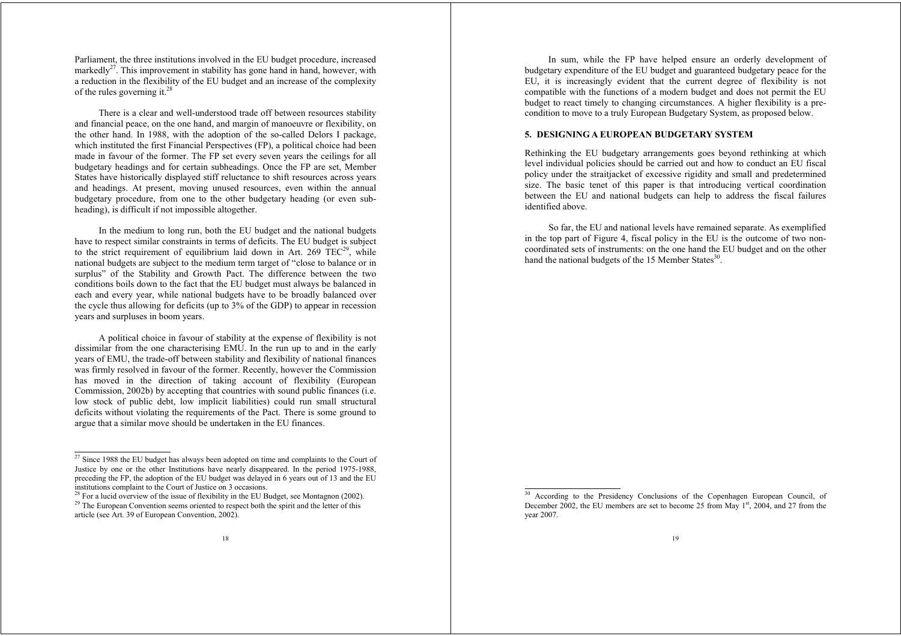Parliament, the three institutions involved in the EU budget procedure, increased markedly<sup>27</sup>. This improvement in stability has gone hand in hand, however, with a reduction in the flexibility of the EU budget and an increase of the complexity of the rules governing it.<sup>28</sup>

There is a clear and well-understood trade off between resources stability and financial peace, on the one hand, and margin of manoeuvre or flexibility, on the other hand. In 1988, with the adoption of the so-called Delors I package, which instituted the first Financial Perspectives (FP), a political choice had been made in favour of the former. The FP set every seven years the ceilings for all budgetary headings and for certain subheadings. Once the FP are set, Member States have historically displayed stiff reluctance to shift resources across years and headings. At present, moving unused resources, even within the annual budgetary procedure, from one to the other budgetary heading (or even subheading), is difficult if not impossible altogether.

In the medium to long run, both the EU budget and the national budgets have to respect similar constraints in terms of deficits. The EU budget is subject to the strict requirement of equilibrium laid down in Art. 269  $TEC<sup>29</sup>$ , while national budgets are subject to the medium term target of "close to balance or in surplus" of the Stability and Growth Pact. The difference between the two conditions boils down to the fact that the EU budget must always be balanced in each and every year, while national budgets have to be broadly balanced over the cycle thus allowing for deficits (up to 3% of the GDP) to appear in recession years and surpluses in boom years.

A political choice in favour of stability at the expense of flexibility is not dissimilar from the one characterising EMU. In the run up to and in the early years of EMU, the trade-off between stability and flexibility of national finances was firmly resolved in favour of the former. Recently, however the Commission has moved in the direction of taking account of flexibility (European Commission, 2002b) by accepting that countries with sound public finances (i.e. low stock of public debt, low implicit liabilities) could run small structural deficits without violating the requirements of the Pact. There is some ground to argue that a similar move should be undertaken in the EU finances.

In sum, while the FP have helped ensure an orderly development of budgetary expenditure of the EU budget and guaranteed budgetary peace for the EU, it is increasingly evident that the current degree of flexibility is not compatible with the functions of a modern budget and does not permit the EU budget to react timely to changing circumstances. A higher flexibility is a precondition to move to a truly European Budgetary System, as proposed below.

## **5. DESIGNING A EUROPEAN BUDGETARY SYSTEM**

Rethinking the EU budgetary arrangements goes beyond rethinking at which level individual policies should be carried out and how to conduct an EU fiscal policy under the straitjacket of excessive rigidity and small and predetermined size. The basic tenet of this paper is that introducing vertical coordination between the EU and national budgets can help to address the fiscal failures identified above.

So far, the EU and national levels have remained separate. As exemplified in the top part of Figure 4, fiscal policy in the EU is the outcome of two noncoordinated sets of instruments: on the one hand the EU budget and on the other hand the national budgets of the 15 Member States $^{30}$ .

 $27$  Since 1988 the EU budget has always been adopted on time and complaints to the Court of Justice by one or the other Institutions have nearly disappeared. In the period 1975-1988, preceding the FP, the adoption of the EU budget was delayed in 6 years out of 13 and the EU institutions complaint to the Court of Justice on 3 occasions.

 $^{28}$  For a lucid overview of the issue of flexibility in the EU Budget, see Montagnon (2002). <sup>29</sup> The European Convention seems oriented to respect both the spirit and the letter of this article (see Art. 39 of European Convention, 2002).

<sup>&</sup>lt;sup>30</sup> According to the Presidency Conclusions of the Copenhagen European Council, of December 2002, the EU members are set to become 25 from May 1<sup>st</sup>, 2004, and 27 from the year 2007.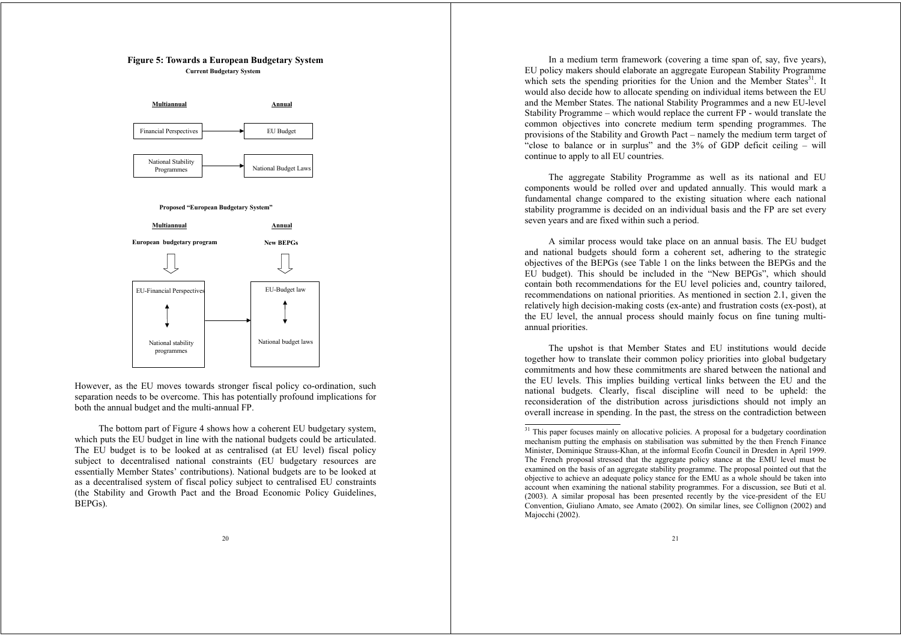## **Figure 5: Towards a European Budgetary System Current Budgetary System**



However, as the EU moves towards stronger fiscal policy co-ordination, such separation needs to be overcome. This has potentially profound implications for both the annual budget and the multi-annual FP.

The bottom part of Figure 4 shows how a coherent EU budgetary system, which puts the EU budget in line with the national budgets could be articulated. The EU budget is to be looked at as centralised (at EU level) fiscal policy subject to decentralised national constraints (EU budgetary resources are essentially Member States' contributions). National budgets are to be looked at as a decentralised system of fiscal policy subject to centralised EU constraints (the Stability and Growth Pact and the Broad Economic Policy Guidelines, BEPGs).

In a medium term framework (covering a time span of, say, five years), EU policy makers should elaborate an aggregate European Stability Programme which sets the spending priorities for the Union and the Member States<sup>31</sup>. It would also decide how to allocate spending on individual items between the EU and the Member States. The national Stability Programmes and a new EU-level Stability Programme – which would replace the current FP - would translate the common objectives into concrete medium term spending programmes. The provisions of the Stability and Growth Pact – namely the medium term target of "close to balance or in surplus" and the 3% of GDP deficit ceiling – will continue to apply to all EU countries.

The aggregate Stability Programme as well as its national and EU components would be rolled over and updated annually. This would mark a fundamental change compared to the existing situation where each national stability programme is decided on an individual basis and the FP are set every seven years and are fixed within such a period.

A similar process would take place on an annual basis. The EU budget and national budgets should form a coherent set, adhering to the strategic objectives of the BEPGs (see Table 1 on the links between the BEPGs and the EU budget). This should be included in the "New BEPGs", which should contain both recommendations for the EU level policies and, country tailored, recommendations on national priorities. As mentioned in section 2.1, given the relatively high decision-making costs (ex-ante) and frustration costs (ex-post), at the EU level, the annual process should mainly focus on fine tuning multiannual priorities.

The upshot is that Member States and EU institutions would decide together how to translate their common policy priorities into global budgetary commitments and how these commitments are shared between the national and the EU levels. This implies building vertical links between the EU and the national budgets. Clearly, fiscal discipline will need to be upheld: the reconsideration of the distribution across jurisdictions should not imply an overall increase in spending. In the past, the stress on the contradiction between

<sup>&</sup>lt;sup>31</sup> This paper focuses mainly on allocative policies. A proposal for a budgetary coordination mechanism putting the emphasis on stabilisation was submitted by the then French Finance Minister, Dominique Strauss-Khan, at the informal Ecofin Council in Dresden in April 1999. The French proposal stressed that the aggregate policy stance at the EMU level must be examined on the basis of an aggregate stability programme. The proposal pointed out that the objective to achieve an adequate policy stance for the EMU as a whole should be taken into account when examining the national stability programmes. For a discussion, see Buti et al. (2003). A similar proposal has been presented recently by the vice-president of the EU Convention, Giuliano Amato, see Amato (2002). On similar lines, see Collignon (2002) and Majocchi (2002).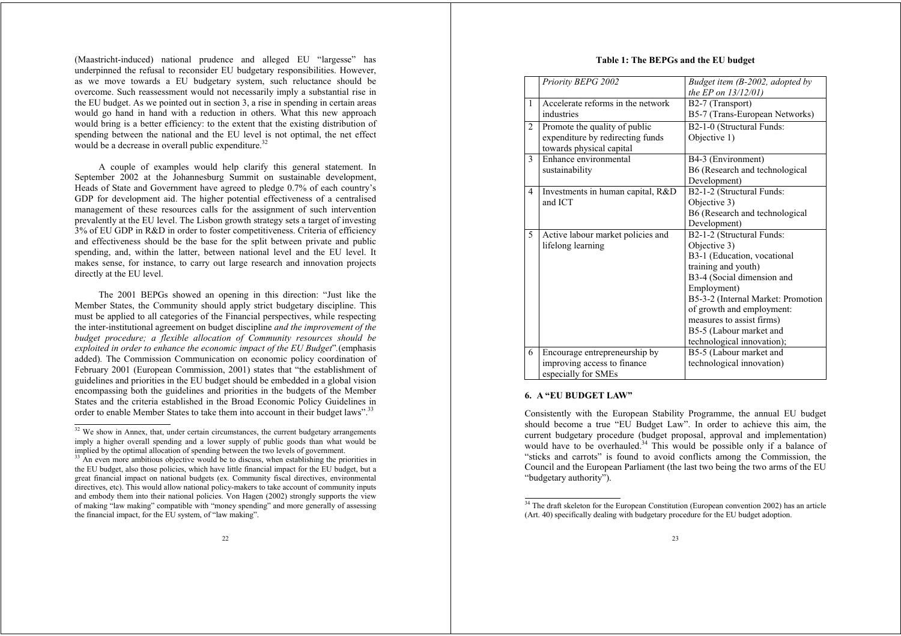(Maastricht-induced) national prudence and alleged EU "largesse" has underpinned the refusal to reconsider EU budgetary responsibilities. However, as we move towards a EU budgetary system, such reluctance should be overcome. Such reassessment would not necessarily imply a substantial rise in the EU budget. As we pointed out in section 3, a rise in spending in certain areas would go hand in hand with a reduction in others. What this new approach would bring is a better efficiency: to the extent that the existing distribution of spending between the national and the EU level is not optimal, the net effect would be a decrease in overall public expenditure.<sup>32</sup>

A couple of examples would help clarify this general statement. In September 2002 at the Johannesburg Summit on sustainable development. Heads of State and Government have agreed to pledge 0.7% of each country's GDP for development aid. The higher potential effectiveness of a centralised management of these resources calls for the assignment of such intervention prevalently at the EU level. The Lisbon growth strategy sets a target of investing 3% of EU GDP in R&D in order to foster competitiveness. Criteria of efficiency and effectiveness should be the base for the split between private and public spending, and, within the latter, between national level and the EU level. It makes sense, for instance, to carry out large research and innovation projects directly at the EU level.

The 2001 BEPGs showed an opening in this direction: "Just like the Member States, the Community should apply strict budgetary discipline. This must be applied to all categories of the Financial perspectives, while respecting the inter-institutional agreement on budget discipline *and the improvement of the budget procedure; a flexible allocation of Community resources should be exploited in order to enhance the economic impact of the EU Budget*"*.*(emphasis added)*.* The Commission Communication on economic policy coordination of February 2001 (European Commission, 2001) states that "the establishment of guidelines and priorities in the EU budget should be embedded in a global vision encompassing both the guidelines and priorities in the budgets of the Member States and the criteria established in the Broad Economic Policy Guidelines in order to enable Member States to take them into account in their budget laws".<sup>33</sup>

## **Table 1: The BEPGs and the EU budget**

|   | Priority BEPG 2002                | Budget item (B-2002, adopted by    |
|---|-----------------------------------|------------------------------------|
|   |                                   | the EP on $13/12/01$ )             |
| 1 | Accelerate reforms in the network | B <sub>2</sub> -7 (Transport)      |
|   | industries                        | B5-7 (Trans-European Networks)     |
| 2 | Promote the quality of public     | B2-1-0 (Structural Funds:          |
|   | expenditure by redirecting funds  | Objective 1)                       |
|   | towards physical capital          |                                    |
| 3 | Enhance environmental             | B4-3 (Environment)                 |
|   | sustainability                    | B6 (Research and technological     |
|   |                                   | Development)                       |
| 4 | Investments in human capital, R&D | B2-1-2 (Structural Funds:          |
|   | and ICT                           | Objective 3)                       |
|   |                                   | B6 (Research and technological     |
|   |                                   | Development)                       |
| 5 | Active labour market policies and | B2-1-2 (Structural Funds:          |
|   | lifelong learning                 | Objective 3)                       |
|   |                                   | B3-1 (Education, vocational        |
|   |                                   | training and youth)                |
|   |                                   | B3-4 (Social dimension and         |
|   |                                   | Employment)                        |
|   |                                   | B5-3-2 (Internal Market: Promotion |
|   |                                   | of growth and employment:          |
|   |                                   | measures to assist firms)          |
|   |                                   | B5-5 (Labour market and            |
|   |                                   | technological innovation);         |
| 6 | Encourage entrepreneurship by     | B5-5 (Labour market and            |
|   | improving access to finance       | technological innovation)          |
|   | especially for SMEs               |                                    |

## **6. A "EU BUDGET LAW"**

Consistently with the European Stability Programme, the annual EU budget should become a true "EU Budget Law". In order to achieve this aim, the current budgetary procedure (budget proposal, approval and implementation) would have to be overhauled.<sup>34</sup> This would be possible only if a balance of "sticks and carrots" is found to avoid conflicts among the Commission, the Council and the European Parliament (the last two being the two arms of the EU "budgetary authority").

<sup>&</sup>lt;sup>32</sup> We show in Annex, that, under certain circumstances, the current budgetary arrangements imply a higher overall spending and a lower supply of public goods than what would be implied by the optimal allocation of spending between the two levels of government.

<sup>&</sup>lt;sup>33</sup> An even more ambitious objective would be to discuss, when establishing the priorities in the EU budget, also those policies, which have little financial impact for the EU budget, but a great financial impact on national budgets (ex. Community fiscal directives, environmental directives, etc). This would allow national policy-makers to take account of community inputs and embody them into their national policies. Von Hagen (2002) strongly supports the view of making "law making" compatible with "money spending" and more generally of assessing the financial impact, for the EU system, of "law making".

<sup>&</sup>lt;sup>34</sup> The draft skeleton for the European Constitution (European convention 2002) has an article (Art. 40) specifically dealing with budgetary procedure for the EU budget adoption.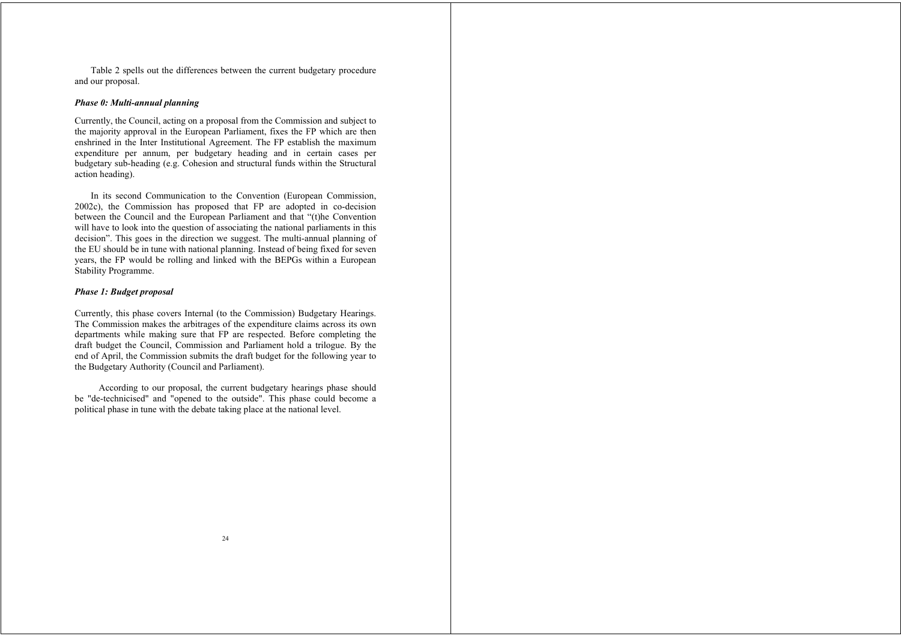Table 2 spells out the differences between the current budgetary procedure and our proposal.

#### *Phase 0: Multi-annual planning*

Currently, the Council, acting on a proposal from the Commission and subject to the majority approval in the European Parliament, fixes the FP which are then enshrined in the Inter Institutional Agreement. The FP establish the maximum expenditure per annum, per budgetary heading and in certain cases per budgetary sub-heading (e.g. Cohesion and structural funds within the Structural action heading).

In its second Communication to the Convention (European Commission, 2002c), the Commission has proposed that FP are adopted in co-decision between the Council and the European Parliament and that "(t)he Convention will have to look into the question of associating the national parliaments in this decision". This goes in the direction we suggest. The multi-annual planning of the EU should be in tune with national planning. Instead of being fixed for seven years, the FP would be rolling and linked with the BEPGs within a European Stability Programme.

#### *Phase 1: Budget proposal*

Currently, this phase covers Internal (to the Commission) Budgetary Hearings. The Commission makes the arbitrages of the expenditure claims across its own departments while making sure that FP are respected. Before completing the draft budget the Council, Commission and Parliament hold a trilogue. By the end of April, the Commission submits the draft budget for the following year to the Budgetary Authority (Council and Parliament).

According to our proposal, the current budgetary hearings phase should be "de-technicised" and "opened to the outside". This phase could become a political phase in tune with the debate taking place at the national level.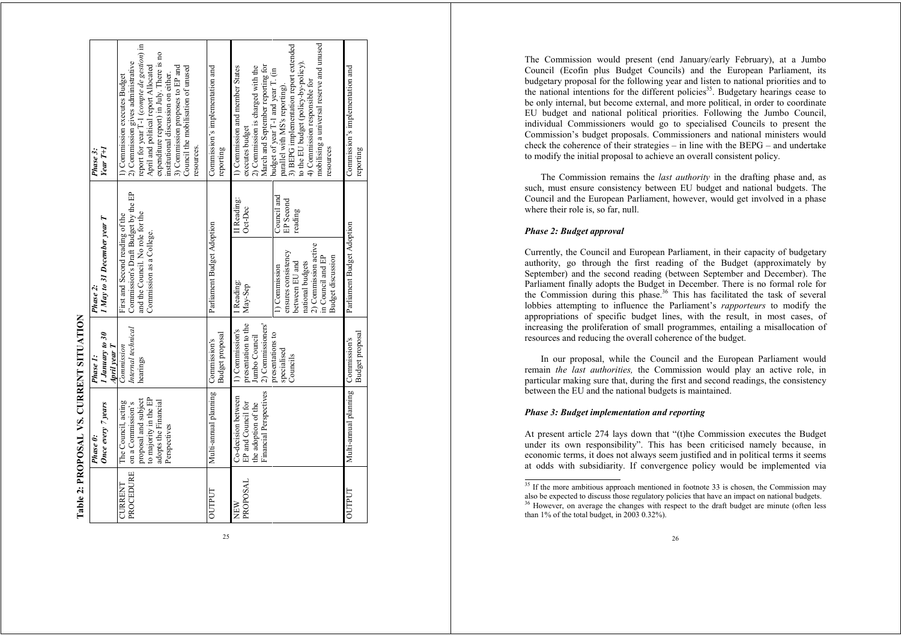|                             | Table 2: PROPOSAL VS. CURRENT SITUATION                                                                                           |                                                                              |                                                                                                                                                     |                                     |                                                                                                                                                                                                                                                                                                                                      |
|-----------------------------|-----------------------------------------------------------------------------------------------------------------------------------|------------------------------------------------------------------------------|-----------------------------------------------------------------------------------------------------------------------------------------------------|-------------------------------------|--------------------------------------------------------------------------------------------------------------------------------------------------------------------------------------------------------------------------------------------------------------------------------------------------------------------------------------|
|                             | Once every 7 years<br>Phase 0:                                                                                                    | 1 January to 30<br>April year T<br>Phase 1:                                  | I May to 31 December year T<br>Phase 2.                                                                                                             |                                     | $YearT+I$<br>Phase 3:                                                                                                                                                                                                                                                                                                                |
| PROCEDURE<br><b>CURRENT</b> | to majority in the EP<br>proposal and subject<br>adopts the Financial<br>The Council, acting<br>on a Commission's<br>Perspectives | Internal technical<br>Commission<br>hearings                                 | Commission's Draft Budget by the EP<br>and the Council. No role for the<br>First and Second reading of the<br>Commission as a College.              |                                     | report for year T-1 (compte de gestion) in<br>expenditure report) in July. There is no<br>2) Commission gives administrative<br>April and political report Allocated<br>3) Commission proposes to EP and<br>Council the mobilisation of unused<br>institutional discussion on either.<br>l) Commission executes Budget<br>resources. |
| OUTPUT                      | Multi-annual planning                                                                                                             | Budget proposal<br>Commission's                                              | Parliament Budget Adoption                                                                                                                          |                                     | Commission's implementation and<br>reporting                                                                                                                                                                                                                                                                                         |
| PROPOSAL<br>NEW             | Financial Perspectives<br>Co-decision between<br>EP and Council for<br>the adoption of the                                        | presentation to the<br>2) Commissioners'<br>1) Commission's<br>Jumbo Council | I Reading:<br>May-Sep                                                                                                                               | II Reading:<br>Oct-Dec              | March and September reporting for<br>1) Commission and member States<br>2) Commission is charged with the<br>executes budget                                                                                                                                                                                                         |
|                             |                                                                                                                                   | presentations to<br>specialised<br>Councils                                  | 2) Commission active<br>ensures consistency<br>in Council and EP<br><b>Budget discussion</b><br>national budgets<br>between EU and<br>1) Commission | Council and<br>EP Second<br>reading | mobilising a universal reserve and unused<br>3) BEPG implementation report extended<br>to the EU budget (policy-by-policy).<br>budget of year T-1 and year T. (in<br>4) Commission responsible for<br>parallel with MS's reporting)<br>resources                                                                                     |
| <b>OUTPUT</b>               | Multi-annual planning                                                                                                             | Budget proposal<br>Commission's                                              | Parliament Budget Adoption                                                                                                                          |                                     | Commission's implementation and<br>reporting                                                                                                                                                                                                                                                                                         |

The Commission would present (end January/early February), at a Jumbo Council (Ecofin plus Budget Councils) and the European Parliament, its budgetary proposal for the following year and listen to national priorities and to the national intentions for the different policies<sup>35</sup>. Budgetary hearings cease to be only internal, but become external, and more political, in order to coordinate EU budget and national political priorities. Following the Jumbo Council, individual Commissioners would go to specialised Councils to present the Commission's budget proposals. Commissioners and national ministers would check the coherence of their strategies – in line with the BEPG – and undertake to modify the initial proposal to achieve an overall consistent policy.

The Commission remains the *last authority* in the drafting phase and, as such, must ensure consistency between EU budget and national budgets. The Council and the European Parliament, however, would get involved in a phase where their role is, so far, null.

#### *Phase 2: Budget approval*

Currently, the Council and European Parliament, in their capacity of budgetary authority, go through the first reading of the Budget (approximately by September) and the second reading (between September and December). The Parliament finally adopts the Budget in December. There is no formal role for the Commission during this phase.<sup>36</sup> This has facilitated the task of several lobbies attempting to influence the Parliament's *rapporteurs* to modify the appropriations of specific budget lines, with the result, in most cases, of increasing the proliferation of small programmes, entailing a misallocation of resources and reducing the overall coherence of the budget.

In our proposal, while the Council and the European Parliament would remain *the last authorities,* the Commission would play an active role, in particular making sure that, during the first and second readings, the consistency between the EU and the national budgets is maintained.

## *Phase 3: Budget implementation and reporting*

At present article 274 lays down that "(t)he Commission executes the Budget under its own responsibility". This has been criticised namely because, in economic terms, it does not always seem justified and in political terms it seems at odds with subsidiarity. If convergence policy would be implemented via

<sup>&</sup>lt;sup>35</sup> If the more ambitious approach mentioned in footnote 33 is chosen, the Commission may also be expected to discuss those regulatory policies that have an impact on national budgets. <sup>36</sup> However, on average the changes with respect to the draft budget are minute (often less than 1% of the total budget, in 2003 0.32%).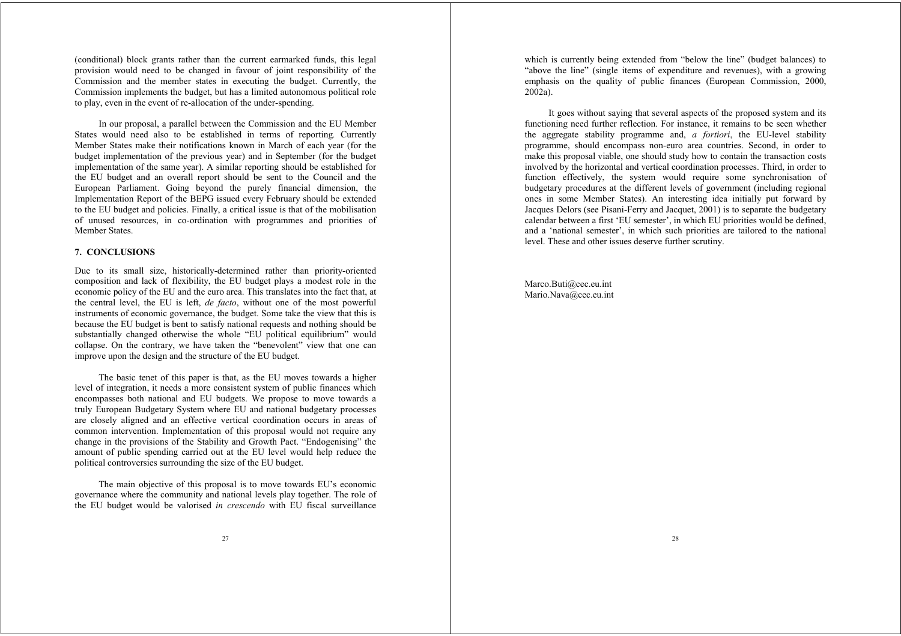(conditional) block grants rather than the current earmarked funds, this legal provision would need to be changed in favour of joint responsibility of the Commission and the member states in executing the budget. Currently, the Commission implements the budget, but has a limited autonomous political role to play, even in the event of re-allocation of the under-spending.

In our proposal, a parallel between the Commission and the EU Member States would need also to be established in terms of reporting*.* Currently Member States make their notifications known in March of each year (for the budget implementation of the previous year) and in September (for the budget implementation of the same year). A similar reporting should be established for the EU budget and an overall report should be sent to the Council and the European Parliament. Going beyond the purely financial dimension, the Implementation Report of the BEPG issued every February should be extended to the EU budget and policies. Finally, a critical issue is that of the mobilisation of unused resources, in co-ordination with programmes and priorities of Member States.

## **7. CONCLUSIONS**

Due to its small size, historically-determined rather than priority-oriented composition and lack of flexibility, the EU budget plays a modest role in the economic policy of the EU and the euro area. This translates into the fact that, at the central level, the EU is left, *de facto*, without one of the most powerful instruments of economic governance, the budget. Some take the view that this is because the EU budget is bent to satisfy national requests and nothing should be substantially changed otherwise the whole "EU political equilibrium" would collapse. On the contrary, we have taken the "benevolent" view that one can improve upon the design and the structure of the EU budget.

The basic tenet of this paper is that, as the EU moves towards a higher level of integration, it needs a more consistent system of public finances which encompasses both national and EU budgets. We propose to move towards a truly European Budgetary System where EU and national budgetary processes are closely aligned and an effective vertical coordination occurs in areas of common intervention. Implementation of this proposal would not require any change in the provisions of the Stability and Growth Pact. "Endogenising" the amount of public spending carried out at the EU level would help reduce the political controversies surrounding the size of the EU budget.

The main objective of this proposal is to move towards EU's economic governance where the community and national levels play together. The role of the EU budget would be valorised *in crescendo* with EU fiscal surveillance

which is currently being extended from "below the line" (budget balances) to "above the line" (single items of expenditure and revenues), with a growing emphasis on the quality of public finances (European Commission, 2000, 2002a).

It goes without saying that several aspects of the proposed system and its functioning need further reflection. For instance, it remains to be seen whether the aggregate stability programme and, *a fortiori*, the EU-level stability programme, should encompass non-euro area countries. Second, in order to make this proposal viable, one should study how to contain the transaction costs involved by the horizontal and vertical coordination processes. Third, in order to function effectively, the system would require some synchronisation of budgetary procedures at the different levels of government (including regional ones in some Member States). An interesting idea initially put forward by Jacques Delors (see Pisani-Ferry and Jacquet, 2001) is to separate the budgetary calendar between a first 'EU semester', in which EU priorities would be defined, and a 'national semester', in which such priorities are tailored to the national level. These and other issues deserve further scrutiny.

Marco.Buti@cec.eu.int Mario.Nava@cec.eu.int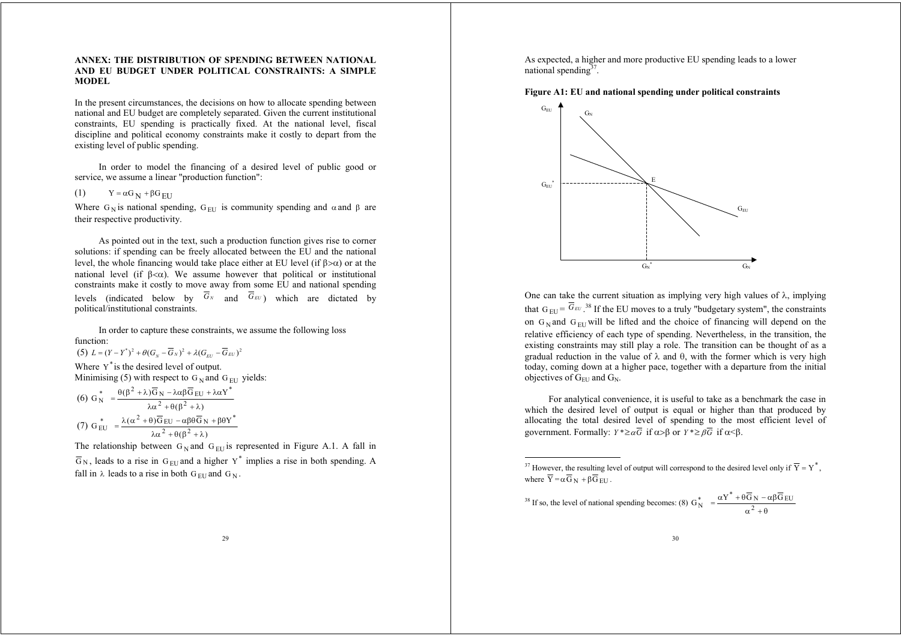## **ANNEX: THE DISTRIBUTION OF SPENDING BETWEEN NATIONAL AND EU BUDGET UNDER POLITICAL CONSTRAINTS: A SIMPLE MODEL**

In the present circumstances, the decisions on how to allocate spending between national and EU budget are completely separated. Given the current institutional constraints, EU spending is practically fixed. At the national level, fiscal discipline and political economy constraints make it costly to depart from the existing level of public spending.

In order to model the financing of a desired level of public good or service, we assume a linear "production function":

(1)  $Y = \alpha G_N + \beta G_{EU}$ 

Where G<sub>N</sub> is national spending, G<sub>EU</sub> is community spending and  $\alpha$  and  $\beta$  are their respective productivity.

As pointed out in the text, such a production function gives rise to corner solutions: if spending can be freely allocated between the EU and the national level, the whole financing would take place either at EU level (if  $\beta > \alpha$ ) or at the national level (if  $\beta < \alpha$ ). We assume however that political or institutional constraints make it costly to move away from some EU and national spending levels (indicated below by  $G_N$  and  $G_{EU}$ ) which are dictated by political/institutional constraints.

In order to capture these constraints, we assume the following loss function:

 $(5)$   $L = (Y - Y^*)^2 + \theta(G_N - G_N)^2 + \lambda(G_{EU} - G_{EU})^2$ 

Where  $Y^*$  is the desired level of output. Minimising (5) with respect to  $G_N$  and  $G_{\text{EU}}$  yields:

$$
(6) G_N^* = \frac{\theta(\beta^2 + \lambda)\overline{G}_N - \lambda\alpha\beta\overline{G}_{EU} + \lambda\alpha Y^*}{\lambda\alpha^2 + \theta(\beta^2 + \lambda)}
$$
  

$$
(7) G_{EU}^* = \frac{\lambda(\alpha^2 + \theta)\overline{G}_{EU} - \alpha\beta\theta\overline{G}_N + \beta\theta Y^*}{\lambda\alpha^2 + \theta(\beta^2 + \lambda)}
$$

The relationship between  $G_N$  and  $G_{EU}$  is represented in Figure A.1. A fall in  $\overline{G}_{N}$ , leads to a rise in  $G_{EU}$  and a higher Y<sup>\*</sup> implies a rise in both spending. A fall in  $\lambda$  leads to a rise in both  $G_{\text{EU}}$  and  $G_N$ .

As expected, a higher and more productive EU spending leads to a lower national spending $3^7$ .





One can take the current situation as implying very high values of  $\lambda$ , implying that  $G_{EU} = G_{EU}$ .<sup>38</sup> If the EU moves to a truly "budgetary system", the constraints on  $G_N$  and  $G_{EU}$  will be lifted and the choice of financing will depend on the relative efficiency of each type of spending. Nevertheless, in the transition, the existing constraints may still play a role. The transition can be thought of as a gradual reduction in the value of  $\lambda$  and  $\theta$ , with the former which is very high today, coming down at a higher pace, together with a departure from the initial objectives of  $G<sub>EU</sub>$  and  $G<sub>N</sub>$ .

For analytical convenience, it is useful to take as a benchmark the case in which the desired level of output is equal or higher than that produced by allocating the total desired level of spending to the most efficient level of government. Formally:  $Y^* \geq \alpha G$  if  $\alpha > \beta$  or  $Y^* \geq \beta G$  if  $\alpha < \beta$ .

$$
^{38}
$$
 If so, the level of national spending becomes: (8)  $G_N^* = \frac{\alpha Y^* + \theta \overline{G}_N - \alpha \beta \overline{G}_{EU}}{\alpha^2 + \theta}$ 

<sup>&</sup>lt;sup>37</sup> However, the resulting level of output will correspond to the desired level only if  $\overline{Y} = Y^*$ , where  $Y = \alpha G_N + \beta G_{EU}$ .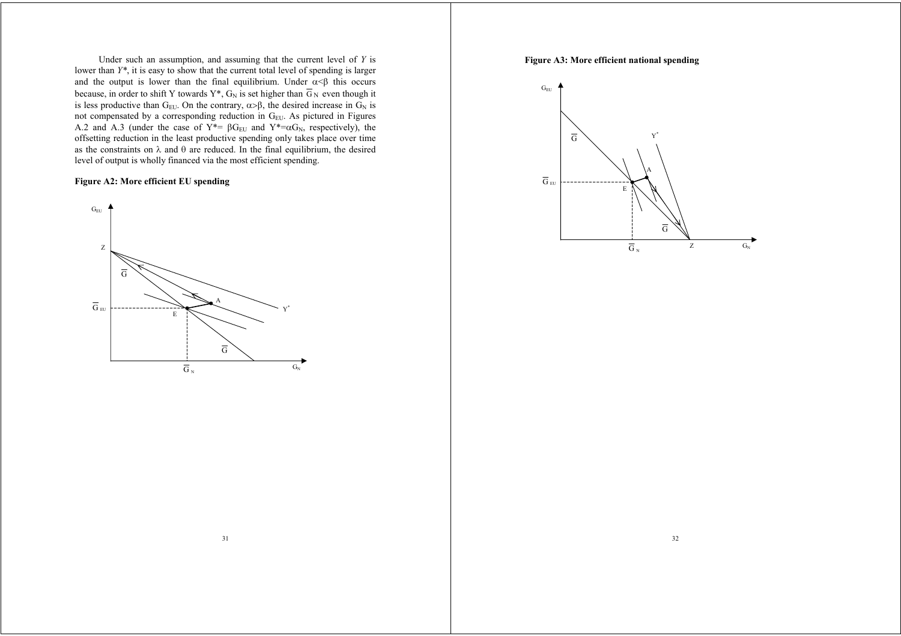Under such an assumption, and assuming that the current level of *Y* is lower than *Y\**, it is easy to show that the current total level of spending is larger and the output is lower than the final equilibrium. Under  $\alpha \leq \beta$  this occurs because, in order to shift Y towards  $Y^*$ ,  $G_N$  is set higher than  $G_N$  even though it is less productive than  $G_{\text{EU}}$ . On the contrary,  $\alpha > \beta$ , the desired increase in  $G_N$  is not compensated by a corresponding reduction in  $G_{EU}$ . As pictured in Figures A.2 and A.3 (under the case of  $Y^* = \beta G_{\text{EU}}$  and  $Y^* = \alpha G_N$ , respectively), the offsetting reduction in the least productive spending only takes place over time as the constraints on  $\lambda$  and  $\theta$  are reduced. In the final equilibrium, the desired level of output is wholly financed via the most efficient spending.

# **Figure A2: More efficient EU spending**



## **Figure A3: More efficient national spending**

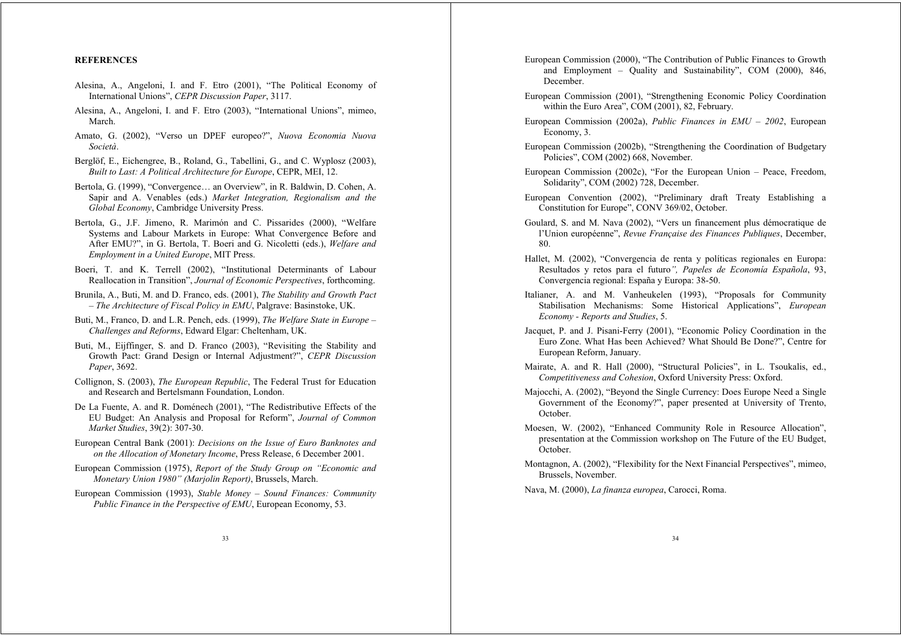#### **REFERENCES**

- Alesina, A., Angeloni, I. and F. Etro (2001), "The Political Economy of International Unions", *CEPR Discussion Paper*, 3117.
- Alesina, A., Angeloni, I. and F. Etro (2003), "International Unions", mimeo, March.
- Amato, G. (2002), "Verso un DPEF europeo?", *Nuova Economia Nuova Società*.
- Berglöf, E., Eichengree, B., Roland, G., Tabellini, G., and C. Wyplosz (2003), *Built to Last: A Political Architecture for Europe*, CEPR, MEI, 12.
- Bertola, G. (1999), "Convergence… an Overview", in R. Baldwin, D. Cohen, A. Sapir and A. Venables (eds.) *Market Integration, Regionalism and the Global Economy*, Cambridge University Press.
- Bertola, G., J.F. Jimeno, R. Marimón and C. Pissarides (2000), "Welfare Systems and Labour Markets in Europe: What Convergence Before and After EMU?", in G. Bertola, T. Boeri and G. Nicoletti (eds.), *Welfare and Employment in a United Europe*, MIT Press.
- Boeri, T. and K. Terrell (2002), "Institutional Determinants of Labour Reallocation in Transition", *Journal of Economic Perspectives*, forthcoming.
- Brunila, A., Buti, M. and D. Franco, eds. (2001), *The Stability and Growth Pact – The Architecture of Fiscal Policy in EMU*, Palgrave: Basinstoke, UK.
- Buti, M., Franco, D. and L.R. Pench, eds. (1999), *The Welfare State in Europe – Challenges and Reforms*, Edward Elgar: Cheltenham, UK.
- Buti, M., Eijffinger, S. and D. Franco (2003), "Revisiting the Stability and Growth Pact: Grand Design or Internal Adjustment?", *CEPR Discussion Paper*, 3692.
- Collignon, S. (2003), *The European Republic*, The Federal Trust for Education and Research and Bertelsmann Foundation, London.
- De La Fuente, A. and R. Doménech (2001), "The Redistributive Effects of the EU Budget: An Analysis and Proposal for Reform", *Journal of Common Market Studies*, 39(2): 307-30.
- European Central Bank (2001): *Decisions on the Issue of Euro Banknotes and on the Allocation of Monetary Income*, Press Release, 6 December 2001.
- European Commission (1975), *Report of the Study Group on "Economic and Monetary Union 1980" (Marjolin Report)*, Brussels, March.
- European Commission (1993), *Stable Money Sound Finances: Community Public Finance in the Perspective of EMU*, European Economy, 53.
- European Commission (2000), "The Contribution of Public Finances to Growth and Employment – Quality and Sustainability", COM (2000), 846, December.
- European Commission (2001), "Strengthening Economic Policy Coordination within the Euro Area", COM (2001), 82, February.
- European Commission (2002a), *Public Finances in EMU 2002*, European Economy, 3.
- European Commission (2002b), "Strengthening the Coordination of Budgetary Policies", COM (2002) 668, November.
- European Commission (2002c), "For the European Union Peace, Freedom, Solidarity", COM (2002) 728, December.
- European Convention (2002), "Preliminary draft Treaty Establishing a Constitution for Europe", CONV 369/02, October.
- Goulard, S. and M. Nava (2002), "Vers un financement plus démocratique de l'Union européenne", *Revue Française des Finances Publiques*, December, 80.
- Hallet, M. (2002), "Convergencia de renta y políticas regionales en Europa: Resultados y retos para el futuro*", Papeles de Economía Española*, 93, Convergencia regional: España y Europa: 38-50.
- Italianer, A. and M. Vanheukelen (1993), "Proposals for Community Stabilisation Mechanisms: Some Historical Applications", *European Economy - Reports and Studies*, 5.
- Jacquet, P. and J. Pisani-Ferry (2001), "Economic Policy Coordination in the Euro Zone. What Has been Achieved? What Should Be Done?", Centre for European Reform, January.
- Mairate, A. and R. Hall (2000), "Structural Policies", in L. Tsoukalis, ed., *Competitiveness and Cohesion*, Oxford University Press: Oxford.
- Majocchi, A. (2002), "Beyond the Single Currency: Does Europe Need a Single Government of the Economy?", paper presented at University of Trento, October.
- Moesen, W. (2002), "Enhanced Community Role in Resource Allocation", presentation at the Commission workshop on The Future of the EU Budget, October.
- Montagnon, A. (2002), "Flexibility for the Next Financial Perspectives", mimeo, Brussels, November.

Nava, M. (2000), *La finanza europea*, Carocci, Roma.